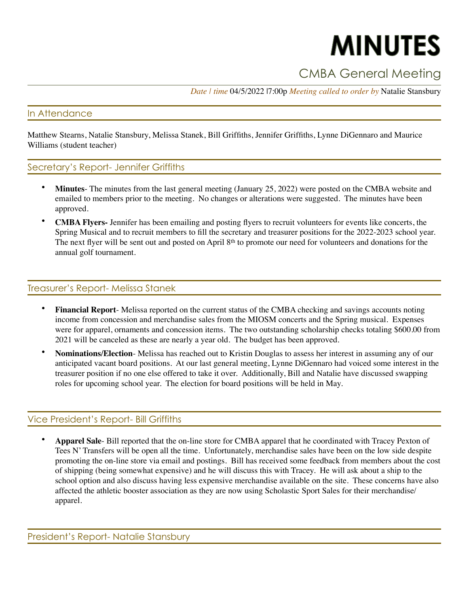# **MINUTES**

# CMBA General Meeting

*Date | time* 04/5/2022 |7:00p *Meeting called to order by* Natalie Stansbury

#### In Attendance

Matthew Stearns, Natalie Stansbury, Melissa Stanek, Bill Griffiths, Jennifer Griffiths, Lynne DiGennaro and Maurice Williams (student teacher)

#### Secretary's Report- Jennifer Griffiths

- **Minutes** The minutes from the last general meeting (January 25, 2022) were posted on the CMBA website and emailed to members prior to the meeting. No changes or alterations were suggested. The minutes have been approved.
- **CMBA Flyers-** Jennifer has been emailing and posting flyers to recruit volunteers for events like concerts, the Spring Musical and to recruit members to fill the secretary and treasurer positions for the 2022-2023 school year. The next flyer will be sent out and posted on April 8<sup>th</sup> to promote our need for volunteers and donations for the annual golf tournament.

#### Treasurer's Report- Melissa Stanek

- **Financial Report** Melissa reported on the current status of the CMBA checking and savings accounts noting income from concession and merchandise sales from the MIOSM concerts and the Spring musical. Expenses were for apparel, ornaments and concession items. The two outstanding scholarship checks totaling \$600.00 from 2021 will be canceled as these are nearly a year old. The budget has been approved.
- **Nominations/Election** Melissa has reached out to Kristin Douglas to assess her interest in assuming any of our anticipated vacant board positions. At our last general meeting, Lynne DiGennaro had voiced some interest in the treasurer position if no one else offered to take it over. Additionally, Bill and Natalie have discussed swapping roles for upcoming school year. The election for board positions will be held in May.

#### Vice President's Report- Bill Griffiths

• **Apparel Sale**- Bill reported that the on-line store for CMBA apparel that he coordinated with Tracey Pexton of Tees N' Transfers will be open all the time. Unfortunately, merchandise sales have been on the low side despite promoting the on-line store via email and postings. Bill has received some feedback from members about the cost of shipping (being somewhat expensive) and he will discuss this with Tracey. He will ask about a ship to the school option and also discuss having less expensive merchandise available on the site. These concerns have also affected the athletic booster association as they are now using Scholastic Sport Sales for their merchandise/ apparel.